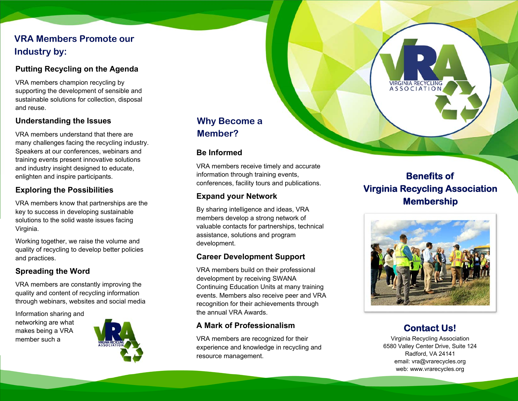## **VRA Members Promote our Industry by:**

## **Putting Recycling on the Agenda**

VRA members champion recycling by supporting the development of sensible and sustainable solutions for collection, disposal and reuse.

## **Understanding the Issues**

VRA members understand that there are many challenges facing the recycling industry. Speakers at our conferences, webinars and training events present innovative solutions and industry insight designed to educate, enlighten and inspire participants.

### **Exploring the Possibilities**

VRA members know that partnerships are the key to success in developing sustainable solutions to the solid waste issues facing Virginia.

Working together, we raise the volume and quality of recycling to develop better policies and practices.

## **Spreading the Word**

VRA members are constantly improving the quality and content of recycling information through webinars, websites and social media

Information sharing and networking are what makes being a VRA member such a



# **Why Become a Member?**

## **Be Informed**

VRA members receive timely and accurate information through training events, conferences, facility tours and publications.

## **Expand your Network**

By sharing intelligence and ideas, VRA members develop a strong network of valuable contacts for partnerships, technical assistance, solutions and program development.

### **Career Development Support**

VRA members build on their professional development by receiving SWANA Continuing Education Units at many training events. Members also receive peer and VRA recognition for their achievements through the annual VRA Awards.

## **A Mark of Professionalism**

VRA members are recognized for their experience and knowledge in recycling and resource management.

**Benefits of Virginia Recycling Association Membership** 

VIRGINIA RECYCLING<br>A S S O C I A T I O N



## **Contact Us!**

Virginia Recycling Association 6580 Valley Center Drive, Suite 124 Radford, VA 24141 email: vra@vrarecycles.org web: www.vrarecycles.org